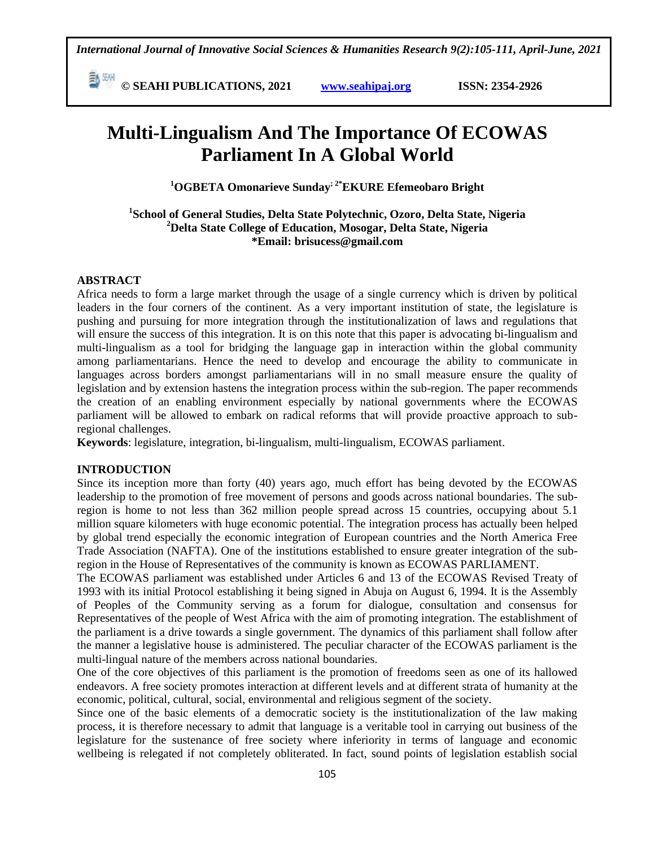**E**  $\frac{54}{30}$  **CM i i**s **C** SEAHI PUBLICATIONS, 2021 *www.seahipaj.org* **<b>issn:** 2354-2926

# **Multi-Lingualism And The Importance Of ECOWAS Parliament In A Global World**

**<sup>1</sup>OGBETA Omonarieve Sunday; 2\*EKURE Efemeobaro Bright**

**1 School of General Studies, Delta State Polytechnic, Ozoro, Delta State, Nigeria <sup>2</sup>Delta State College of Education, Mosogar, Delta State, Nigeria \*Email: [brisucess@gmail.com](mailto:brisucess@gmail.com)**

### **ABSTRACT**

Africa needs to form a large market through the usage of a single currency which is driven by political leaders in the four corners of the continent. As a very important institution of state, the legislature is pushing and pursuing for more integration through the institutionalization of laws and regulations that will ensure the success of this integration. It is on this note that this paper is advocating bi-lingualism and multi-lingualism as a tool for bridging the language gap in interaction within the global community among parliamentarians. Hence the need to develop and encourage the ability to communicate in languages across borders amongst parliamentarians will in no small measure ensure the quality of legislation and by extension hastens the integration process within the sub-region. The paper recommends the creation of an enabling environment especially by national governments where the ECOWAS parliament will be allowed to embark on radical reforms that will provide proactive approach to subregional challenges.

**Keywords**: legislature, integration, bi-lingualism, multi-lingualism, ECOWAS parliament.

### **INTRODUCTION**

Since its inception more than forty (40) years ago, much effort has being devoted by the ECOWAS leadership to the promotion of free movement of persons and goods across national boundaries. The subregion is home to not less than 362 million people spread across 15 countries, occupying about 5.1 million square kilometers with huge economic potential. The integration process has actually been helped by global trend especially the economic integration of European countries and the North America Free Trade Association (NAFTA). One of the institutions established to ensure greater integration of the subregion in the House of Representatives of the community is known as ECOWAS PARLIAMENT.

The ECOWAS parliament was established under Articles 6 and 13 of the [ECOWAS Revised Treaty](https://parl.ecowas.int/ecodwd/ecowas-revised-treaty/) of 1993 with its initial Protocol establishing it being signed in Abuja on August 6, 1994. It is the Assembly of Peoples of the Community serving as a forum for dialogue, consultation and consensus for Representatives of the people of West Africa with the aim of promoting integration. The establishment of the parliament is a drive towards a single government. The dynamics of this parliament shall follow after the manner a legislative house is administered. The peculiar character of the ECOWAS parliament is the multi-lingual nature of the members across national boundaries.

One of the core objectives of this parliament is the promotion of freedoms seen as one of its hallowed endeavors. A free society promotes interaction at different levels and at different strata of humanity at the economic, political, cultural, social, environmental and religious segment of the society.

Since one of the basic elements of a democratic society is the institutionalization of the law making process, it is therefore necessary to admit that language is a veritable tool in carrying out business of the legislature for the sustenance of free society where inferiority in terms of language and economic wellbeing is relegated if not completely obliterated. In fact, sound points of legislation establish social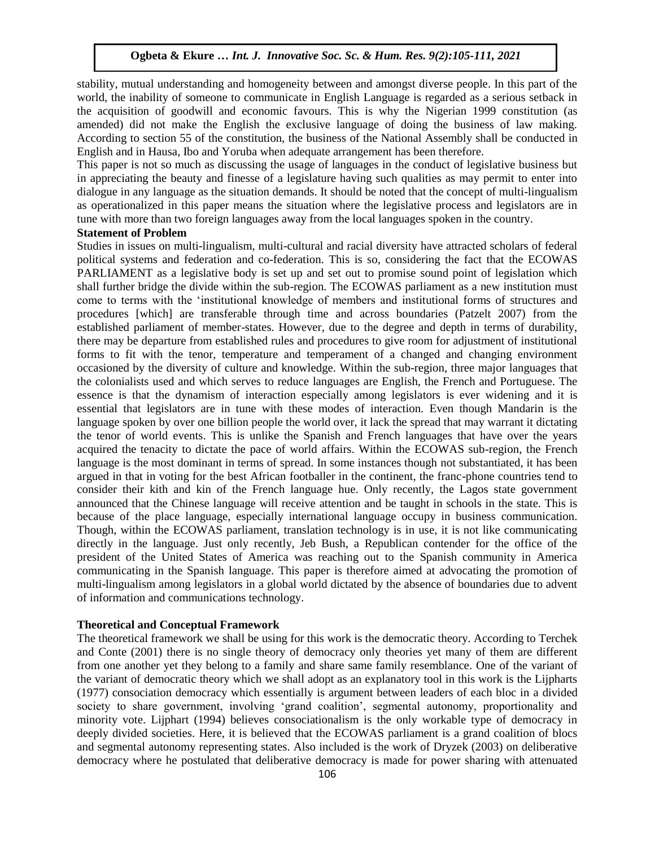stability, mutual understanding and homogeneity between and amongst diverse people. In this part of the world, the inability of someone to communicate in English Language is regarded as a serious setback in the acquisition of goodwill and economic favours. This is why the Nigerian 1999 constitution (as amended) did not make the English the exclusive language of doing the business of law making. According to section 55 of the constitution, the business of the National Assembly shall be conducted in English and in Hausa, Ibo and Yoruba when adequate arrangement has been therefore.

This paper is not so much as discussing the usage of languages in the conduct of legislative business but in appreciating the beauty and finesse of a legislature having such qualities as may permit to enter into dialogue in any language as the situation demands. It should be noted that the concept of multi-lingualism as operationalized in this paper means the situation where the legislative process and legislators are in tune with more than two foreign languages away from the local languages spoken in the country.

### **Statement of Problem**

Studies in issues on multi-lingualism, multi-cultural and racial diversity have attracted scholars of federal political systems and federation and co-federation. This is so, considering the fact that the ECOWAS PARLIAMENT as a legislative body is set up and set out to promise sound point of legislation which shall further bridge the divide within the sub-region. The ECOWAS parliament as a new institution must come to terms with the "institutional knowledge of members and institutional forms of structures and procedures [which] are transferable through time and across boundaries (Patzelt 2007) from the established parliament of member-states. However, due to the degree and depth in terms of durability, there may be departure from established rules and procedures to give room for adjustment of institutional forms to fit with the tenor, temperature and temperament of a changed and changing environment occasioned by the diversity of culture and knowledge. Within the sub-region, three major languages that the colonialists used and which serves to reduce languages are English, the French and Portuguese. The essence is that the dynamism of interaction especially among legislators is ever widening and it is essential that legislators are in tune with these modes of interaction. Even though Mandarin is the language spoken by over one billion people the world over, it lack the spread that may warrant it dictating the tenor of world events. This is unlike the Spanish and French languages that have over the years acquired the tenacity to dictate the pace of world affairs. Within the ECOWAS sub-region, the French language is the most dominant in terms of spread. In some instances though not substantiated, it has been argued in that in voting for the best African footballer in the continent, the franc-phone countries tend to consider their kith and kin of the French language hue. Only recently, the Lagos state government announced that the Chinese language will receive attention and be taught in schools in the state. This is because of the place language, especially international language occupy in business communication. Though, within the ECOWAS parliament, translation technology is in use, it is not like communicating directly in the language. Just only recently, Jeb Bush, a Republican contender for the office of the president of the United States of America was reaching out to the Spanish community in America communicating in the Spanish language. This paper is therefore aimed at advocating the promotion of multi-lingualism among legislators in a global world dictated by the absence of boundaries due to advent of information and communications technology.

#### **Theoretical and Conceptual Framework**

The theoretical framework we shall be using for this work is the democratic theory. According to Terchek and Conte (2001) there is no single theory of democracy only theories yet many of them are different from one another yet they belong to a family and share same family resemblance. One of the variant of the variant of democratic theory which we shall adopt as an explanatory tool in this work is the Lijpharts (1977) consociation democracy which essentially is argument between leaders of each bloc in a divided society to share government, involving 'grand coalition', segmental autonomy, proportionality and minority vote. Lijphart (1994) believes consociationalism is the only workable type of democracy in deeply divided societies. Here, it is believed that the ECOWAS parliament is a grand coalition of blocs and segmental autonomy representing states. Also included is the work of Dryzek (2003) on deliberative democracy where he postulated that deliberative democracy is made for power sharing with attenuated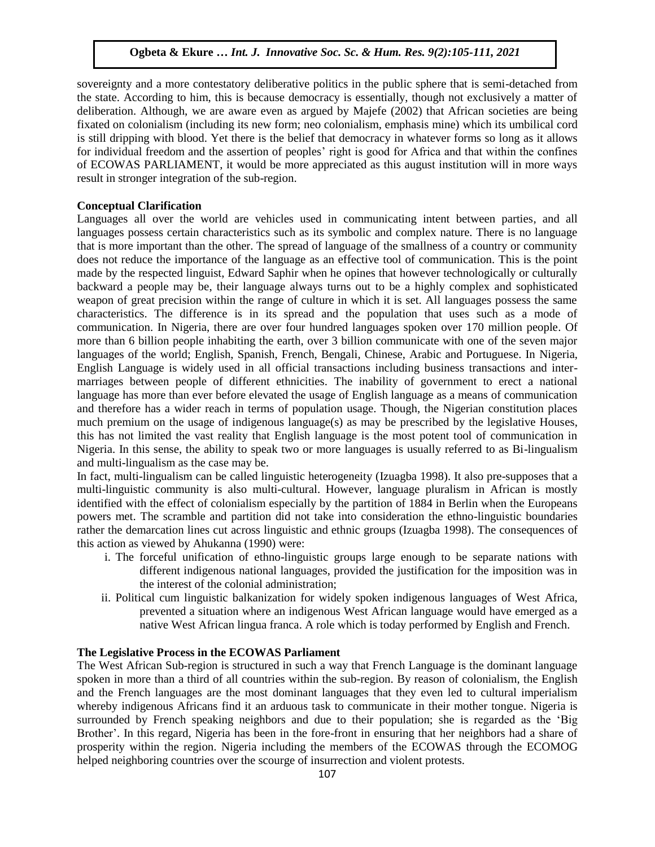sovereignty and a more contestatory deliberative politics in the public sphere that is semi-detached from the state. According to him, this is because democracy is essentially, though not exclusively a matter of deliberation. Although, we are aware even as argued by Majefe (2002) that African societies are being fixated on colonialism (including its new form; neo colonialism, emphasis mine) which its umbilical cord is still dripping with blood. Yet there is the belief that democracy in whatever forms so long as it allows for individual freedom and the assertion of peoples' right is good for Africa and that within the confines of ECOWAS PARLIAMENT, it would be more appreciated as this august institution will in more ways result in stronger integration of the sub-region.

# **Conceptual Clarification**

Languages all over the world are vehicles used in communicating intent between parties, and all languages possess certain characteristics such as its symbolic and complex nature. There is no language that is more important than the other. The spread of language of the smallness of a country or community does not reduce the importance of the language as an effective tool of communication. This is the point made by the respected linguist, Edward Saphir when he opines that however technologically or culturally backward a people may be, their language always turns out to be a highly complex and sophisticated weapon of great precision within the range of culture in which it is set. All languages possess the same characteristics. The difference is in its spread and the population that uses such as a mode of communication. In Nigeria, there are over four hundred languages spoken over 170 million people. Of more than 6 billion people inhabiting the earth, over 3 billion communicate with one of the seven major languages of the world; English, Spanish, French, Bengali, Chinese, Arabic and Portuguese. In Nigeria, English Language is widely used in all official transactions including business transactions and intermarriages between people of different ethnicities. The inability of government to erect a national language has more than ever before elevated the usage of English language as a means of communication and therefore has a wider reach in terms of population usage. Though, the Nigerian constitution places much premium on the usage of indigenous language(s) as may be prescribed by the legislative Houses, this has not limited the vast reality that English language is the most potent tool of communication in Nigeria. In this sense, the ability to speak two or more languages is usually referred to as Bi-lingualism and multi-lingualism as the case may be.

In fact, multi-lingualism can be called linguistic heterogeneity (Izuagba 1998). It also pre-supposes that a multi-linguistic community is also multi-cultural. However, language pluralism in African is mostly identified with the effect of colonialism especially by the partition of 1884 in Berlin when the Europeans powers met. The scramble and partition did not take into consideration the ethno-linguistic boundaries rather the demarcation lines cut across linguistic and ethnic groups (Izuagba 1998). The consequences of this action as viewed by Ahukanna (1990) were:

- i. The forceful unification of ethno-linguistic groups large enough to be separate nations with different indigenous national languages, provided the justification for the imposition was in the interest of the colonial administration;
- ii. Political cum linguistic balkanization for widely spoken indigenous languages of West Africa, prevented a situation where an indigenous West African language would have emerged as a native West African lingua franca. A role which is today performed by English and French.

# **The Legislative Process in the ECOWAS Parliament**

The West African Sub-region is structured in such a way that French Language is the dominant language spoken in more than a third of all countries within the sub-region. By reason of colonialism, the English and the French languages are the most dominant languages that they even led to cultural imperialism whereby indigenous Africans find it an arduous task to communicate in their mother tongue. Nigeria is surrounded by French speaking neighbors and due to their population; she is regarded as the "Big Brother'. In this regard, Nigeria has been in the fore-front in ensuring that her neighbors had a share of prosperity within the region. Nigeria including the members of the ECOWAS through the ECOMOG helped neighboring countries over the scourge of insurrection and violent protests.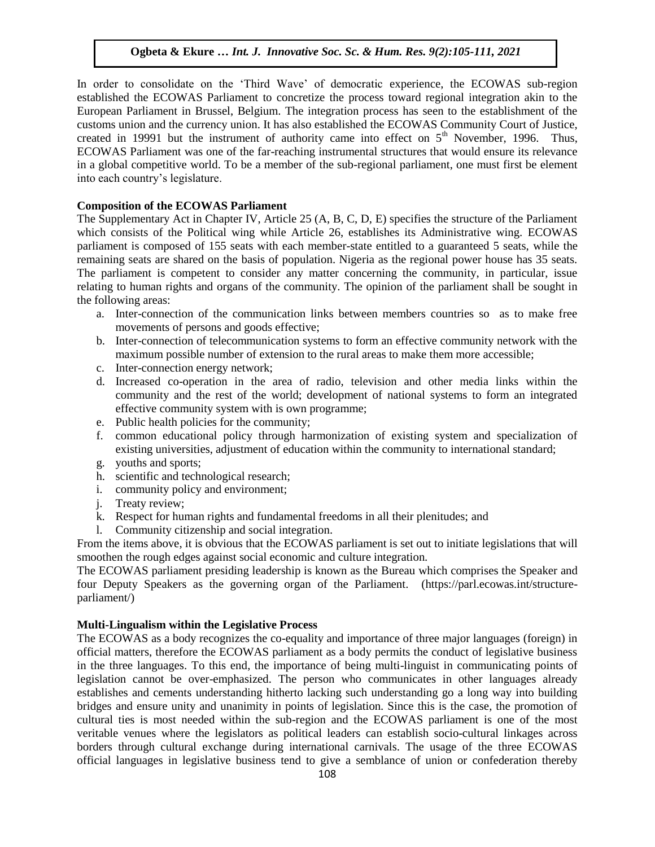In order to consolidate on the "Third Wave" of democratic experience, the ECOWAS sub-region established the ECOWAS Parliament to concretize the process toward regional integration akin to the European Parliament in Brussel, Belgium. The integration process has seen to the establishment of the customs union and the currency union. It has also established the ECOWAS Community Court of Justice, created in 19991 but the instrument of authority came into effect on  $5<sup>th</sup>$  November, 1996. Thus, ECOWAS Parliament was one of the far-reaching instrumental structures that would ensure its relevance in a global competitive world. To be a member of the sub-regional parliament, one must first be element into each country"s legislature.

# **Composition of the ECOWAS Parliament**

The Supplementary Act in Chapter IV, Article 25 (A, B, C, D, E) specifies the structure of the Parliament which consists of the Political wing while Article 26, establishes its Administrative wing. ECOWAS parliament is composed of 155 seats with each member-state entitled to a guaranteed 5 seats, while the remaining seats are shared on the basis of population. Nigeria as the regional power house has 35 seats. The parliament is competent to consider any matter concerning the community, in particular, issue relating to human rights and organs of the community. The opinion of the parliament shall be sought in the following areas:

- a. Inter-connection of the communication links between members countries so as to make free movements of persons and goods effective;
- b. Inter-connection of telecommunication systems to form an effective community network with the maximum possible number of extension to the rural areas to make them more accessible;
- c. Inter-connection energy network;
- d. Increased co-operation in the area of radio, television and other media links within the community and the rest of the world; development of national systems to form an integrated effective community system with is own programme;
- e. Public health policies for the community;
- f. common educational policy through harmonization of existing system and specialization of existing universities, adjustment of education within the community to international standard;
- g. youths and sports;
- h. scientific and technological research;
- i. community policy and environment;
- j. Treaty review;
- k. Respect for human rights and fundamental freedoms in all their plenitudes; and
- l. Community citizenship and social integration.

From the items above, it is obvious that the ECOWAS parliament is set out to initiate legislations that will smoothen the rough edges against social economic and culture integration.

The ECOWAS parliament presiding leadership is known as the Bureau which comprises the [Speaker](https://parl.ecowas.int/speaker/) and four Deputy Speakers as the governing organ of the Parliament. (https://parl.ecowas.int/structureparliament/)

### **Multi-Lingualism within the Legislative Process**

The ECOWAS as a body recognizes the co-equality and importance of three major languages (foreign) in official matters, therefore the ECOWAS parliament as a body permits the conduct of legislative business in the three languages. To this end, the importance of being multi-linguist in communicating points of legislation cannot be over-emphasized. The person who communicates in other languages already establishes and cements understanding hitherto lacking such understanding go a long way into building bridges and ensure unity and unanimity in points of legislation. Since this is the case, the promotion of cultural ties is most needed within the sub-region and the ECOWAS parliament is one of the most veritable venues where the legislators as political leaders can establish socio-cultural linkages across borders through cultural exchange during international carnivals. The usage of the three ECOWAS official languages in legislative business tend to give a semblance of union or confederation thereby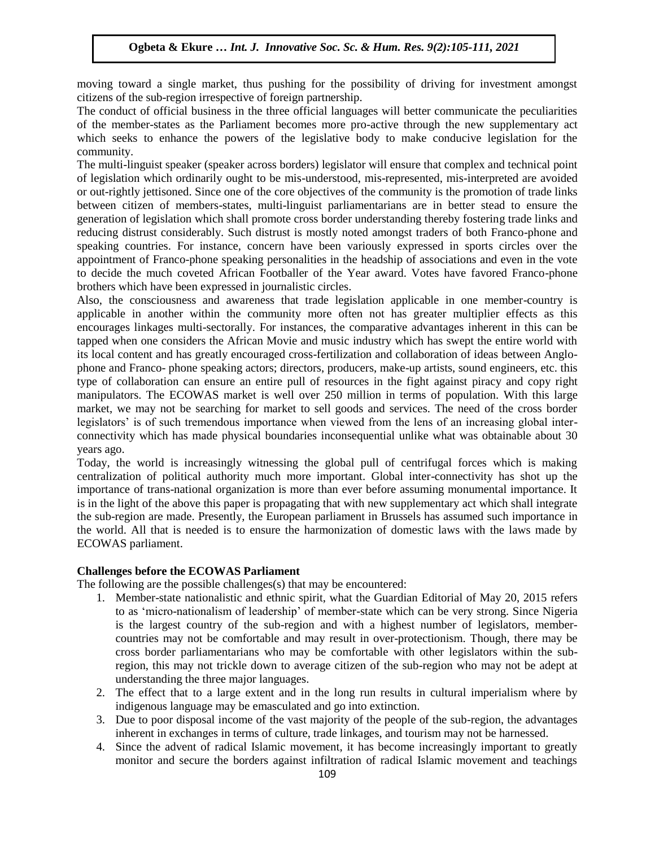moving toward a single market, thus pushing for the possibility of driving for investment amongst citizens of the sub-region irrespective of foreign partnership.

The conduct of official business in the three official languages will better communicate the peculiarities of the member-states as the Parliament becomes more pro-active through the new supplementary act which seeks to enhance the powers of the legislative body to make conducive legislation for the community.

The multi-linguist speaker (speaker across borders) legislator will ensure that complex and technical point of legislation which ordinarily ought to be mis-understood, mis-represented, mis-interpreted are avoided or out-rightly jettisoned. Since one of the core objectives of the community is the promotion of trade links of out-rightly jetusolied. Since one of the core objectives of the community is the promotion of trade finks between citizen of members-states, multi-linguist parliamentarians are in better stead to ensure the generation of legislation which shall promote cross border understanding thereby fostering trade links and reducing distrust considerably. Such distrust is mostly noted amongst traders of both Franco-phone and speaking countries. For instance, concern have been variously expressed in sports circles over the speaking countries. For instance, concern have been variously expressed in sports circles over the appointment of Franco-phone speaking personalities in the headship of associations and even in the vote to decide the much coveted African Footballer of the Year award. Votes have favored Franco-phone brothers which have been expressed in journalistic circles.

Also, the consciousness and awareness that trade legislation applicable in one member-country is experienced in the constitution of the second intervalse of the second intervalse of the second intervalse of the second inte applicable in another within the community more often not has greater multiplier effects as this encourages linkages multi-sectorally. For instances, the comparative advantages inherent in this can be tapped when one considers the African Movie and music industry which has swept the entire world with its local content and has greatly encouraged cross-fertilization and collaboration of ideas between Anglonot and Franco- phone speaking actors; directors, producers, make-up artists, sound engineers, etc. this phone and Franco- phone speaking actors; directors, producers, make-up artists, sound engineers, etc. this type of collaboration can ensure an entire pull of resources in the fight against piracy and copy right manipulators. The ECOWAS market is well over 250 million in terms of population. With this large market, we may not be searching for market to sell goods and services. The need of the cross border market, we may not be searching for market to sell goods and services. The need of the cross border legislators' is of such tremendous importance when viewed from the lens of an increasing global interconnectivity which has made physical boundaries inconsequential unlike what was obtainable about 30 years ago.

Today, the world is increasingly witnessing the global pull of centrifugal forces which is making centralization of political authority much more important. Global inter-connectivity has shot up the importance of trans-national organization is more than ever before assuming monumental importance. It is in the light of the above this paper is propagating that with new supplementary act which shall integrate the sub-region are made. Presently, the European parliament in Brussels has assumed such importance in the world. All that is needed is to ensure the harmonization of domestic laws with the laws made by ECOWAS parliament.

### **Challenges before the ECOWAS Parliament**

The following are the possible challenges(s) that may be encountered:

- 1. Member-state nationalistic and ethnic spirit, what the Guardian Editorial of May 20, 2015 refers to as "micro-nationalism of leadership" of member-state which can be very strong. Since Nigeria is the largest country of the sub-region and with a highest number of legislators, membercountries may not be comfortable and may result in over-protectionism. Though, there may be cross border parliamentarians who may be comfortable with other legislators within the subregion, this may not trickle down to average citizen of the sub-region who may not be adept at understanding the three major languages.
- 2. The effect that to a large extent and in the long run results in cultural imperialism where by indigenous language may be emasculated and go into extinction.
- 3. Due to poor disposal income of the vast majority of the people of the sub-region, the advantages inherent in exchanges in terms of culture, trade linkages, and tourism may not be harnessed.
- 4. Since the advent of radical Islamic movement, it has become increasingly important to greatly monitor and secure the borders against infiltration of radical Islamic movement and teachings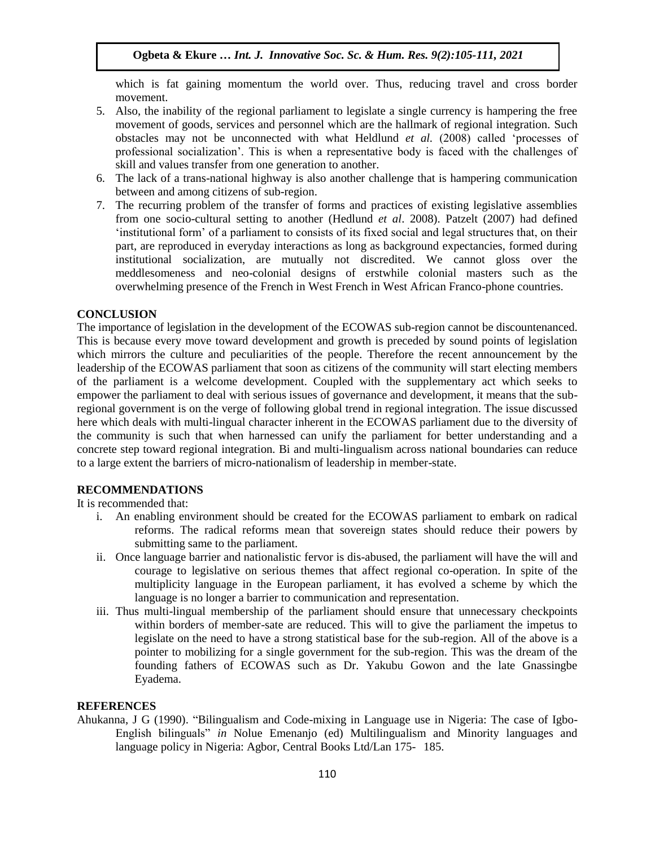which is fat gaining momentum the world over. Thus, reducing travel and cross border movement.

- 5. Also, the inability of the regional parliament to legislate a single currency is hampering the free movement of goods, services and personnel which are the hallmark of regional integration. Such obstacles may not be unconnected with what Heldlund *et al.* (2008) called "processes of professional socialization'. This is when a representative body is faced with the challenges of skill and values transfer from one generation to another.
- 6. The lack of a trans-national highway is also another challenge that is hampering communication between and among citizens of sub-region.
- 7. The recurring problem of the transfer of forms and practices of existing legislative assemblies from one socio-cultural setting to another (Hedlund *et al*. 2008). Patzelt (2007) had defined "institutional form" of a parliament to consists of its fixed social and legal structures that, on their part, are reproduced in everyday interactions as long as background expectancies, formed during institutional socialization, are mutually not discredited. We cannot gloss over the meddlesomeness and neo-colonial designs of erstwhile colonial masters such as the overwhelming presence of the French in West French in West African Franco-phone countries.

## **CONCLUSION**

The importance of legislation in the development of the ECOWAS sub-region cannot be discountenanced. This is because every move toward development and growth is preceded by sound points of legislation which mirrors the culture and peculiarities of the people. Therefore the recent announcement by the leadership of the ECOWAS parliament that soon as citizens of the community will start electing members of the parliament is a welcome development. Coupled with the supplementary act which seeks to empower the parliament to deal with serious issues of governance and development, it means that the subregional government is on the verge of following global trend in regional integration. The issue discussed here which deals with multi-lingual character inherent in the ECOWAS parliament due to the diversity of the community is such that when harnessed can unify the parliament for better understanding and a concrete step toward regional integration. Bi and multi-lingualism across national boundaries can reduce to a large extent the barriers of micro-nationalism of leadership in member-state.

### **RECOMMENDATIONS**

It is recommended that:

- i. An enabling environment should be created for the ECOWAS parliament to embark on radical reforms. The radical reforms mean that sovereign states should reduce their powers by submitting same to the parliament.
- ii. Once language barrier and nationalistic fervor is dis-abused, the parliament will have the will and courage to legislative on serious themes that affect regional co-operation. In spite of the multiplicity language in the European parliament, it has evolved a scheme by which the language is no longer a barrier to communication and representation.
- iii. Thus multi-lingual membership of the parliament should ensure that unnecessary checkpoints within borders of member-sate are reduced. This will to give the parliament the impetus to legislate on the need to have a strong statistical base for the sub-region. All of the above is a pointer to mobilizing for a single government for the sub-region. This was the dream of the founding fathers of ECOWAS such as Dr. Yakubu Gowon and the late Gnassingbe Eyadema.

### **REFERENCES**

Ahukanna, J G (1990). "Bilingualism and Code-mixing in Language use in Nigeria: The case of Igbo-English bilinguals" *in* Nolue Emenanjo (ed) Multilingualism and Minority languages and language policy in Nigeria: Agbor, Central Books Ltd/Lan 175- 185.